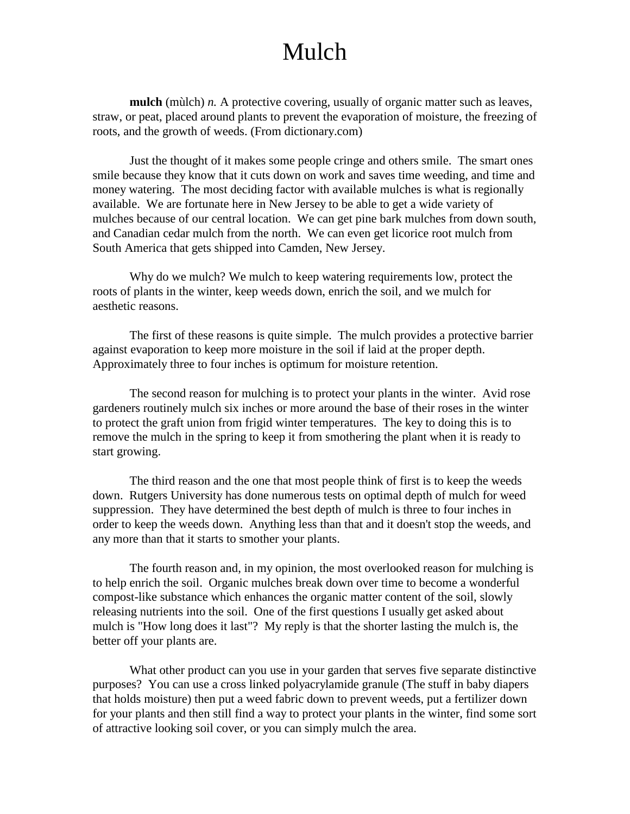## Mulch

**mulch** (mùlch) *n.* A protective covering, usually of organic matter such as leaves, straw, or peat, placed around plants to prevent the evaporation of moisture, the freezing of roots, and the growth of weeds. (From dictionary.com)

Just the thought of it makes some people cringe and others smile. The smart ones smile because they know that it cuts down on work and saves time weeding, and time and money watering. The most deciding factor with available mulches is what is regionally available. We are fortunate here in New Jersey to be able to get a wide variety of mulches because of our central location. We can get pine bark mulches from down south, and Canadian cedar mulch from the north. We can even get licorice root mulch from South America that gets shipped into Camden, New Jersey.

Why do we mulch? We mulch to keep watering requirements low, protect the roots of plants in the winter, keep weeds down, enrich the soil, and we mulch for aesthetic reasons.

The first of these reasons is quite simple. The mulch provides a protective barrier against evaporation to keep more moisture in the soil if laid at the proper depth. Approximately three to four inches is optimum for moisture retention.

The second reason for mulching is to protect your plants in the winter. Avid rose gardeners routinely mulch six inches or more around the base of their roses in the winter to protect the graft union from frigid winter temperatures. The key to doing this is to remove the mulch in the spring to keep it from smothering the plant when it is ready to start growing.

The third reason and the one that most people think of first is to keep the weeds down. Rutgers University has done numerous tests on optimal depth of mulch for weed suppression. They have determined the best depth of mulch is three to four inches in order to keep the weeds down. Anything less than that and it doesn't stop the weeds, and any more than that it starts to smother your plants.

The fourth reason and, in my opinion, the most overlooked reason for mulching is to help enrich the soil. Organic mulches break down over time to become a wonderful compost-like substance which enhances the organic matter content of the soil, slowly releasing nutrients into the soil. One of the first questions I usually get asked about mulch is "How long does it last"? My reply is that the shorter lasting the mulch is, the better off your plants are.

What other product can you use in your garden that serves five separate distinctive purposes? You can use a cross linked polyacrylamide granule (The stuff in baby diapers that holds moisture) then put a weed fabric down to prevent weeds, put a fertilizer down for your plants and then still find a way to protect your plants in the winter, find some sort of attractive looking soil cover, or you can simply mulch the area.